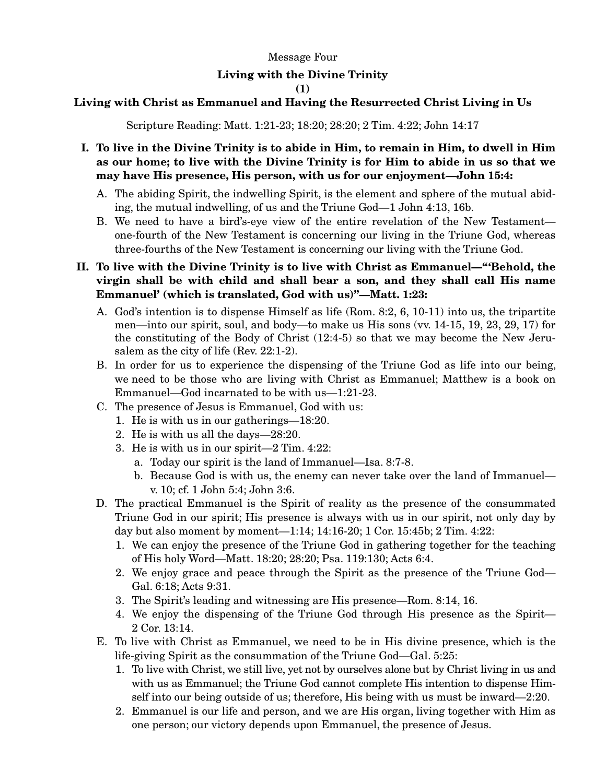## Message Four

## **Living with the Divine Trinity**

**(1)** 

## **Living with Christ as Emmanuel and Having the Resurrected Christ Living in Us**

Scripture Reading: Matt. 1:21-23; 18:20; 28:20; 2 Tim. 4:22; John 14:17

- **I. To live in the Divine Trinity is to abide in Him, to remain in Him, to dwell in Him as our home; to live with the Divine Trinity is for Him to abide in us so that we may have His presence, His person, with us for our enjoyment—John 15:4:** 
	- A. The abiding Spirit, the indwelling Spirit, is the element and sphere of the mutual abiding, the mutual indwelling, of us and the Triune God—1 John 4:13, 16b.
	- B. We need to have a bird's-eye view of the entire revelation of the New Testament one-fourth of the New Testament is concerning our living in the Triune God, whereas three-fourths of the New Testament is concerning our living with the Triune God.
- **II. To live with the Divine Trinity is to live with Christ as Emmanuel—"'Behold, the virgin shall be with child and shall bear a son, and they shall call His name Emmanuel' (which is translated, God with us)"—Matt. 1:23:** 
	- A. God's intention is to dispense Himself as life (Rom. 8:2, 6, 10-11) into us, the tripartite men—into our spirit, soul, and body—to make us His sons (vv. 14-15, 19, 23, 29, 17) for the constituting of the Body of Christ (12:4-5) so that we may become the New Jerusalem as the city of life (Rev. 22:1-2).
	- B. In order for us to experience the dispensing of the Triune God as life into our being, we need to be those who are living with Christ as Emmanuel; Matthew is a book on Emmanuel—God incarnated to be with us—1:21-23.
	- C. The presence of Jesus is Emmanuel, God with us:
		- 1. He is with us in our gatherings—18:20.
		- 2. He is with us all the days—28:20.
		- 3. He is with us in our spirit—2 Tim. 4:22:
			- a. Today our spirit is the land of Immanuel—Isa. 8:7-8.
			- b. Because God is with us, the enemy can never take over the land of Immanuel v. 10; cf. 1 John 5:4; John 3:6.
	- D. The practical Emmanuel is the Spirit of reality as the presence of the consummated Triune God in our spirit; His presence is always with us in our spirit, not only day by day but also moment by moment—1:14; 14:16-20; 1 Cor. 15:45b; 2 Tim. 4:22:
		- 1. We can enjoy the presence of the Triune God in gathering together for the teaching of His holy Word—Matt. 18:20; 28:20; Psa. 119:130; Acts 6:4.
		- 2. We enjoy grace and peace through the Spirit as the presence of the Triune God— Gal. 6:18; Acts 9:31.
		- 3. The Spirit's leading and witnessing are His presence—Rom. 8:14, 16.
		- 4. We enjoy the dispensing of the Triune God through His presence as the Spirit— 2 Cor. 13:14.
	- E. To live with Christ as Emmanuel, we need to be in His divine presence, which is the life-giving Spirit as the consummation of the Triune God—Gal. 5:25:
		- 1. To live with Christ, we still live, yet not by ourselves alone but by Christ living in us and with us as Emmanuel; the Triune God cannot complete His intention to dispense Himself into our being outside of us; therefore, His being with us must be inward—2:20.
		- 2. Emmanuel is our life and person, and we are His organ, living together with Him as one person; our victory depends upon Emmanuel, the presence of Jesus.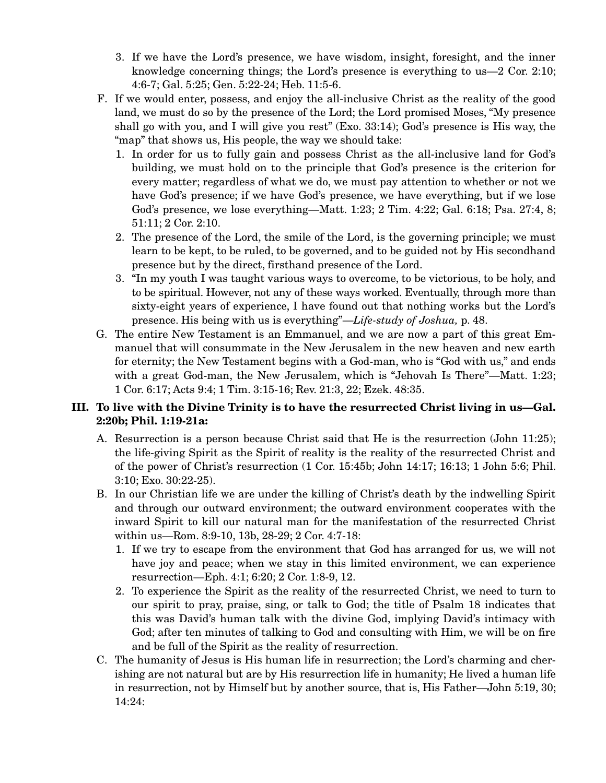- 3. If we have the Lord's presence, we have wisdom, insight, foresight, and the inner knowledge concerning things; the Lord's presence is everything to us—2 Cor. 2:10; 4:6-7; Gal. 5:25; Gen. 5:22-24; Heb. 11:5-6.
- F. If we would enter, possess, and enjoy the all-inclusive Christ as the reality of the good land, we must do so by the presence of the Lord; the Lord promised Moses, "My presence shall go with you, and I will give you rest" (Exo. 33:14); God's presence is His way, the "map" that shows us, His people, the way we should take:
	- 1. In order for us to fully gain and possess Christ as the all-inclusive land for God's building, we must hold on to the principle that God's presence is the criterion for every matter; regardless of what we do, we must pay attention to whether or not we have God's presence; if we have God's presence, we have everything, but if we lose God's presence, we lose everything—Matt. 1:23; 2 Tim. 4:22; Gal. 6:18; Psa. 27:4, 8; 51:11; 2 Cor. 2:10.
	- 2. The presence of the Lord, the smile of the Lord, is the governing principle; we must learn to be kept, to be ruled, to be governed, and to be guided not by His secondhand presence but by the direct, firsthand presence of the Lord.
	- 3. "In my youth I was taught various ways to overcome, to be victorious, to be holy, and to be spiritual. However, not any of these ways worked. Eventually, through more than sixty-eight years of experience, I have found out that nothing works but the Lord's presence. His being with us is everything"—*Life-study of Joshua,* p. 48.
- G. The entire New Testament is an Emmanuel, and we are now a part of this great Emmanuel that will consummate in the New Jerusalem in the new heaven and new earth for eternity; the New Testament begins with a God-man, who is "God with us," and ends with a great God-man, the New Jerusalem, which is "Jehovah Is There"—Matt. 1:23; 1 Cor. 6:17; Acts 9:4; 1 Tim. 3:15-16; Rev. 21:3, 22; Ezek. 48:35.

## **III. To live with the Divine Trinity is to have the resurrected Christ living in us—Gal. 2:20b; Phil. 1:19-21a:**

- A. Resurrection is a person because Christ said that He is the resurrection (John 11:25); the life-giving Spirit as the Spirit of reality is the reality of the resurrected Christ and of the power of Christ's resurrection (1 Cor. 15:45b; John 14:17; 16:13; 1 John 5:6; Phil. 3:10; Exo. 30:22-25).
- B. In our Christian life we are under the killing of Christ's death by the indwelling Spirit and through our outward environment; the outward environment cooperates with the inward Spirit to kill our natural man for the manifestation of the resurrected Christ within us—Rom. 8:9-10, 13b, 28-29; 2 Cor. 4:7-18:
	- 1. If we try to escape from the environment that God has arranged for us, we will not have joy and peace; when we stay in this limited environment, we can experience resurrection—Eph. 4:1; 6:20; 2 Cor. 1:8-9, 12.
	- 2. To experience the Spirit as the reality of the resurrected Christ, we need to turn to our spirit to pray, praise, sing, or talk to God; the title of Psalm 18 indicates that this was David's human talk with the divine God, implying David's intimacy with God; after ten minutes of talking to God and consulting with Him, we will be on fire and be full of the Spirit as the reality of resurrection.
- C. The humanity of Jesus is His human life in resurrection; the Lord's charming and cherishing are not natural but are by His resurrection life in humanity; He lived a human life in resurrection, not by Himself but by another source, that is, His Father—John 5:19, 30; 14:24: